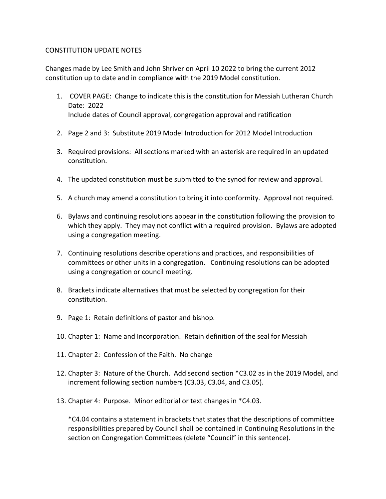## CONSTITUTION UPDATE NOTES

Changes made by Lee Smith and John Shriver on April 10 2022 to bring the current 2012 constitution up to date and in compliance with the 2019 Model constitution.

- 1. COVER PAGE: Change to indicate this is the constitution for Messiah Lutheran Church Date: 2022 Include dates of Council approval, congregation approval and ratification
- 2. Page 2 and 3: Substitute 2019 Model Introduction for 2012 Model Introduction
- 3. Required provisions: All sections marked with an asterisk are required in an updated constitution.
- 4. The updated constitution must be submitted to the synod for review and approval.
- 5. A church may amend a constitution to bring it into conformity. Approval not required.
- 6. Bylaws and continuing resolutions appear in the constitution following the provision to which they apply. They may not conflict with a required provision. Bylaws are adopted using a congregation meeting.
- 7. Continuing resolutions describe operations and practices, and responsibilities of committees or other units in a congregation. Continuing resolutions can be adopted using a congregation or council meeting.
- 8. Brackets indicate alternatives that must be selected by congregation for their constitution.
- 9. Page 1: Retain definitions of pastor and bishop.
- 10. Chapter 1: Name and Incorporation. Retain definition of the seal for Messiah
- 11. Chapter 2: Confession of the Faith. No change
- 12. Chapter 3: Nature of the Church. Add second section \*C3.02 as in the 2019 Model, and increment following section numbers (C3.03, C3.04, and C3.05).
- 13. Chapter 4: Purpose. Minor editorial or text changes in \*C4.03.

\*C4.04 contains a statement in brackets that states that the descriptions of committee responsibilities prepared by Council shall be contained in Continuing Resolutions in the section on Congregation Committees (delete "Council" in this sentence).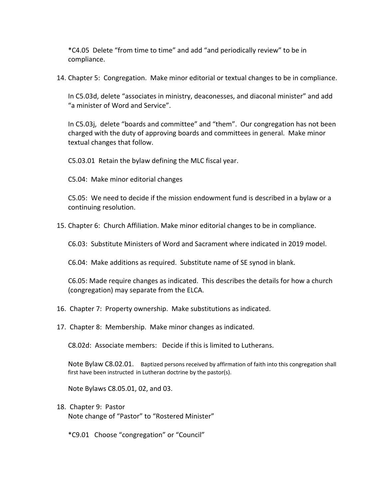\*C4.05 Delete "from time to time" and add "and periodically review" to be in compliance.

14. Chapter 5: Congregation. Make minor editorial or textual changes to be in compliance.

In C5.03d, delete "associates in ministry, deaconesses, and diaconal minister" and add "a minister of Word and Service".

In C5.03j, delete "boards and committee" and "them". Our congregation has not been charged with the duty of approving boards and committees in general. Make minor textual changes that follow.

C5.03.01 Retain the bylaw defining the MLC fiscal year.

C5.04: Make minor editorial changes

C5.05: We need to decide if the mission endowment fund is described in a bylaw or a continuing resolution.

15. Chapter 6: Church Affiliation. Make minor editorial changes to be in compliance.

C6.03: Substitute Ministers of Word and Sacrament where indicated in 2019 model.

C6.04: Make additions as required. Substitute name of SE synod in blank.

C6.05: Made require changes as indicated. This describes the details for how a church (congregation) may separate from the ELCA.

- 16. Chapter 7: Property ownership. Make substitutions as indicated.
- 17. Chapter 8: Membership. Make minor changes as indicated.

C8.02d: Associate members: Decide if this is limited to Lutherans.

Note Bylaw C8.02.01. Baptized persons received by affirmation of faith into this congregation shall first have been instructed in Lutheran doctrine by the pastor(s).

Note Bylaws C8.05.01, 02, and 03.

- 18. Chapter 9: Pastor Note change of "Pastor" to "Rostered Minister"
	- \*C9.01 Choose "congregation" or "Council"